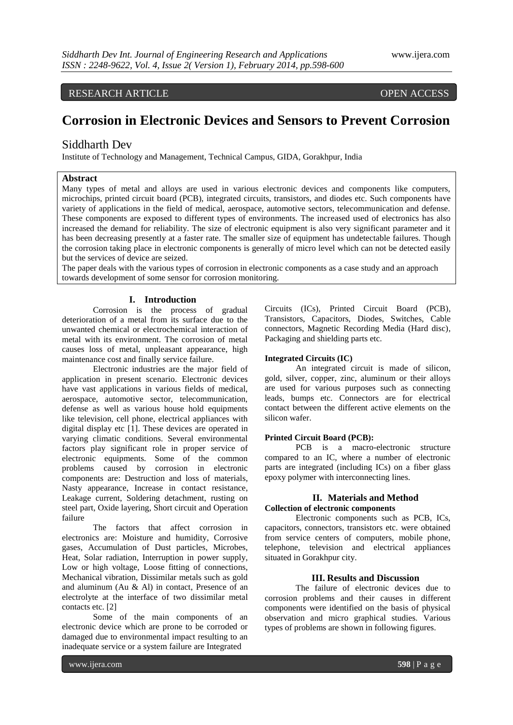# RESEARCH ARTICLE OPEN ACCESS

# **Corrosion in Electronic Devices and Sensors to Prevent Corrosion**

# Siddharth Dev

Institute of Technology and Management, Technical Campus, GIDA, Gorakhpur, India

#### **Abstract**

Many types of metal and alloys are used in various electronic devices and components like computers, microchips, printed circuit board (PCB), integrated circuits, transistors, and diodes etc. Such components have variety of applications in the field of medical, aerospace, automotive sectors, telecommunication and defense. These components are exposed to different types of environments. The increased used of electronics has also increased the demand for reliability. The size of electronic equipment is also very significant parameter and it has been decreasing presently at a faster rate. The smaller size of equipment has undetectable failures. Though the corrosion taking place in electronic components is generally of micro level which can not be detected easily but the services of device are seized.

The paper deals with the various types of corrosion in electronic components as a case study and an approach towards development of some sensor for corrosion monitoring.

### **I. Introduction**

Corrosion is the process of gradual deterioration of a metal from its surface due to the unwanted chemical or electrochemical interaction of metal with its environment. The corrosion of metal causes loss of metal, unpleasant appearance, high maintenance cost and finally service failure.

Electronic industries are the major field of application in present scenario. Electronic devices have vast applications in various fields of medical, aerospace, automotive sector, telecommunication, defense as well as various house hold equipments like television, cell phone, electrical appliances with digital display etc [1]. These devices are operated in varying climatic conditions. Several environmental factors play significant role in proper service of electronic equipments. Some of the common problems caused by corrosion in electronic components are: Destruction and loss of materials, Nasty appearance, Increase in contact resistance, Leakage current, Soldering detachment, rusting on steel part, Oxide layering, Short circuit and Operation failure

The factors that affect corrosion in electronics are: Moisture and humidity, Corrosive gases, Accumulation of Dust particles, Microbes, Heat, Solar radiation, Interruption in power supply, Low or high voltage, Loose fitting of connections, Mechanical vibration, Dissimilar metals such as gold and aluminum (Au & Al) in contact, Presence of an electrolyte at the interface of two dissimilar metal contacts etc. [2]

Some of the main components of an electronic device which are prone to be corroded or damaged due to environmental impact resulting to an inadequate service or a system failure are Integrated

Circuits (ICs), Printed Circuit Board (PCB), Transistors, Capacitors, Diodes, Switches, Cable connectors, Magnetic Recording Media (Hard disc), Packaging and shielding parts etc.

#### **Integrated Circuits (IC)**

An integrated circuit is made of silicon, gold, silver, copper, zinc, aluminum or their alloys are used for various purposes such as connecting leads, bumps etc. Connectors are for electrical contact between the different active elements on the silicon wafer.

#### **Printed Circuit Board (PCB):**

PCB is a macro-electronic structure compared to an IC, where a number of electronic parts are integrated (including ICs) on a fiber glass epoxy polymer with interconnecting lines.

#### **II. Materials and Method Collection of electronic components**

Electronic components such as PCB, ICs, capacitors, connectors, transistors etc. were obtained from service centers of computers, mobile phone, telephone, television and electrical appliances situated in Gorakhpur city.

#### **III. Results and Discussion**

The failure of electronic devices due to corrosion problems and their causes in different components were identified on the basis of physical observation and micro graphical studies. Various types of problems are shown in following figures.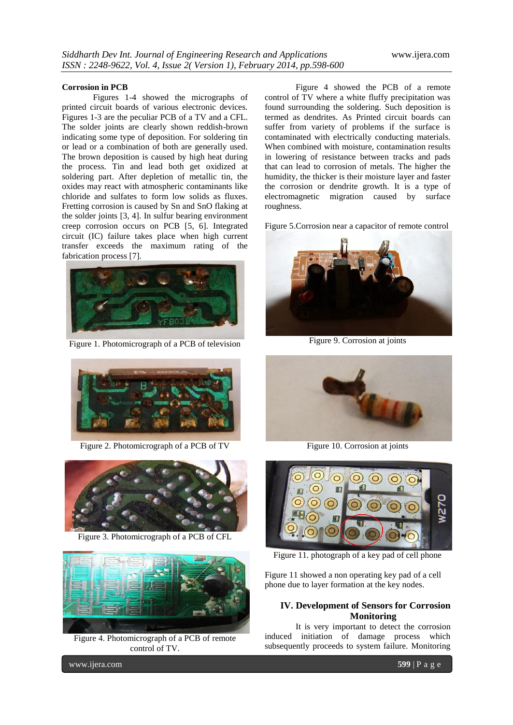#### **Corrosion in PCB**

Figures 1-4 showed the micrographs of printed circuit boards of various electronic devices. Figures 1-3 are the peculiar PCB of a TV and a CFL. The solder joints are clearly shown reddish-brown indicating some type of deposition. For soldering tin or lead or a combination of both are generally used. The brown deposition is caused by high heat during the process. Tin and lead both get oxidized at soldering part. After depletion of metallic tin, the oxides may react with atmospheric contaminants like chloride and sulfates to form low solids as fluxes. Fretting corrosion is caused by Sn and SnO flaking at the solder joints [3, 4]. In sulfur bearing environment creep corrosion occurs on PCB [5, 6]. Integrated circuit (IC) failure takes place when high current transfer exceeds the maximum rating of the fabrication process [7].



Figure 1. Photomicrograph of a PCB of television



Figure 2. Photomicrograph of a PCB of TV



Figure 3. Photomicrograph of a PCB of CFL



Figure 4. Photomicrograph of a PCB of remote control of TV.

Figure 4 showed the PCB of a remote control of TV where a white fluffy precipitation was found surrounding the soldering. Such deposition is termed as dendrites. As Printed circuit boards can suffer from variety of problems if the surface is contaminated with electrically conducting materials. When combined with moisture, contamination results in lowering of resistance between tracks and pads that can lead to corrosion of metals. The higher the humidity, the thicker is their moisture layer and faster the corrosion or dendrite growth. It is a type of electromagnetic migration caused by surface roughness.

Figure 5.Corrosion near a capacitor of remote control



Figure 9. Corrosion at joints



Figure 10. Corrosion at joints



Figure 11. photograph of a key pad of cell phone

Figure 11 showed a non operating key pad of a cell phone due to layer formation at the key nodes.

#### **IV. Development of Sensors for Corrosion Monitoring**

It is very important to detect the corrosion induced initiation of damage process which subsequently proceeds to system failure. Monitoring

www.ijera.com **599** | P a g e